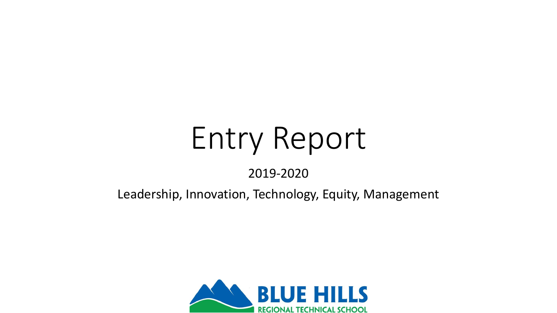# Entry Report

#### 2019-2020

#### Leadership, Innovation, Technology, Equity, Management

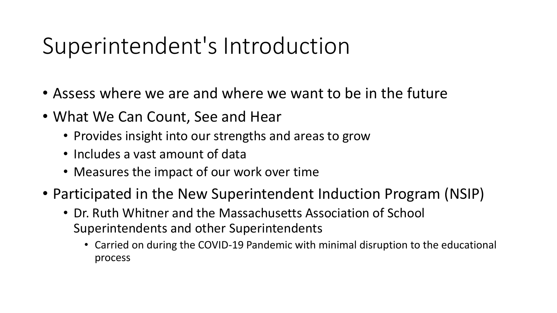#### Superintendent's Introduction

- Assess where we are and where we want to be in the future
- What We Can Count, See and Hear
	- Provides insight into our strengths and areas to grow
	- Includes a vast amount of data
	- Measures the impact of our work over time
- Participated in the New Superintendent Induction Program (NSIP)
	- Dr. Ruth Whitner and the Massachusetts Association of School Superintendents and other Superintendents
		- Carried on during the COVID-19 Pandemic with minimal disruption to the educational process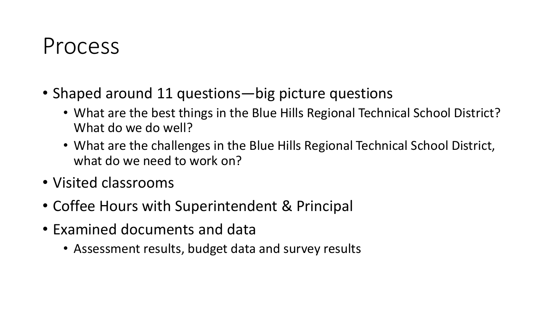#### Process

- Shaped around 11 questions—big picture questions
	- What are the best things in the Blue Hills Regional Technical School District? What do we do well?
	- What are the challenges in the Blue Hills Regional Technical School District, what do we need to work on?
- Visited classrooms
- Coffee Hours with Superintendent & Principal
- Examined documents and data
	- Assessment results, budget data and survey results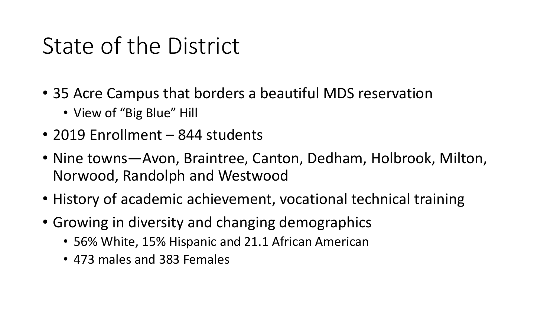#### State of the District

- 35 Acre Campus that borders a beautiful MDS reservation
	- View of "Big Blue" Hill
- 2019 Enrollment 844 students
- Nine towns—Avon, Braintree, Canton, Dedham, Holbrook, Milton, Norwood, Randolph and Westwood
- History of academic achievement, vocational technical training
- Growing in diversity and changing demographics
	- 56% White, 15% Hispanic and 21.1 African American
	- 473 males and 383 Females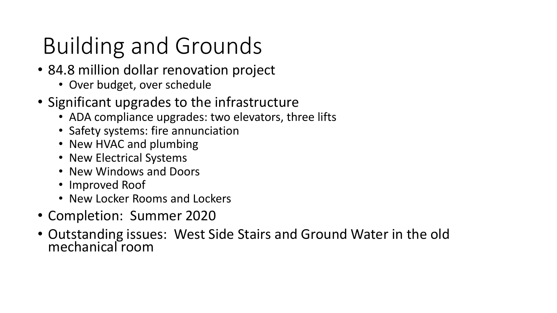# Building and Grounds

- 84.8 million dollar renovation project
	- Over budget, over schedule
- Significant upgrades to the infrastructure
	- ADA compliance upgrades: two elevators, three lifts
	- Safety systems: fire annunciation
	- New HVAC and plumbing
	- New Electrical Systems
	- New Windows and Doors
	- Improved Roof
	- New Locker Rooms and Lockers
- Completion: Summer 2020
- Outstanding issues: West Side Stairs and Ground Water in the old mechanical room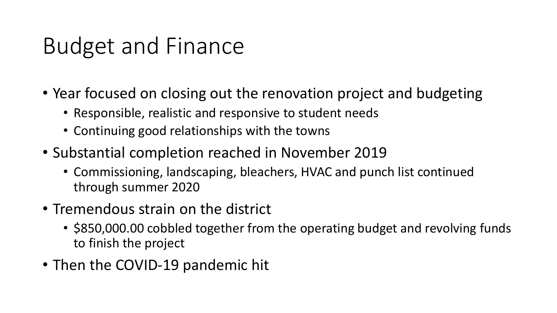### Budget and Finance

- Year focused on closing out the renovation project and budgeting
	- Responsible, realistic and responsive to student needs
	- Continuing good relationships with the towns
- Substantial completion reached in November 2019
	- Commissioning, landscaping, bleachers, HVAC and punch list continued through summer 2020
- Tremendous strain on the district
	- \$850,000.00 cobbled together from the operating budget and revolving funds to finish the project
- Then the COVID-19 pandemic hit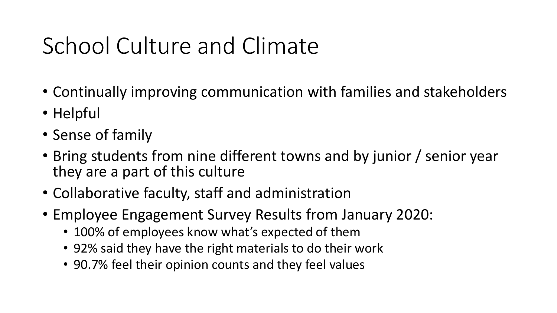# School Culture and Climate

- Continually improving communication with families and stakeholders
- Helpful
- Sense of family
- Bring students from nine different towns and by junior / senior year they are a part of this culture
- Collaborative faculty, staff and administration
- Employee Engagement Survey Results from January 2020:
	- 100% of employees know what's expected of them
	- 92% said they have the right materials to do their work
	- 90.7% feel their opinion counts and they feel values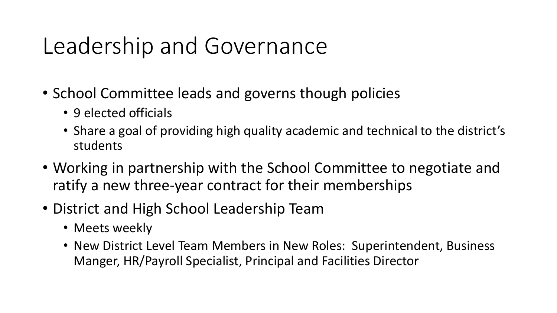#### Leadership and Governance

- School Committee leads and governs though policies
	- 9 elected officials
	- Share a goal of providing high quality academic and technical to the district's students
- Working in partnership with the School Committee to negotiate and ratify a new three-year contract for their memberships
- District and High School Leadership Team
	- Meets weekly
	- New District Level Team Members in New Roles: Superintendent, Business Manger, HR/Payroll Specialist, Principal and Facilities Director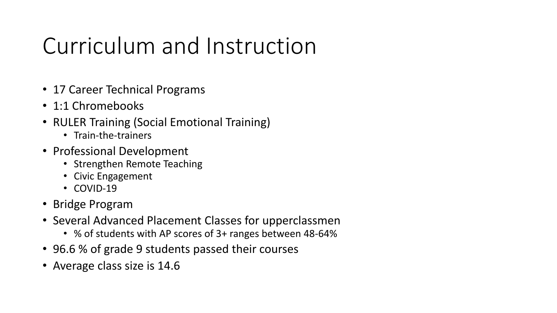### Curriculum and Instruction

- 17 Career Technical Programs
- 1:1 Chromebooks
- RULER Training (Social Emotional Training)
	- Train-the-trainers
- Professional Development
	- Strengthen Remote Teaching
	- Civic Engagement
	- COVID-19
- Bridge Program
- Several Advanced Placement Classes for upperclassmen
	- % of students with AP scores of 3+ ranges between 48-64%
- 96.6 % of grade 9 students passed their courses
- Average class size is 14.6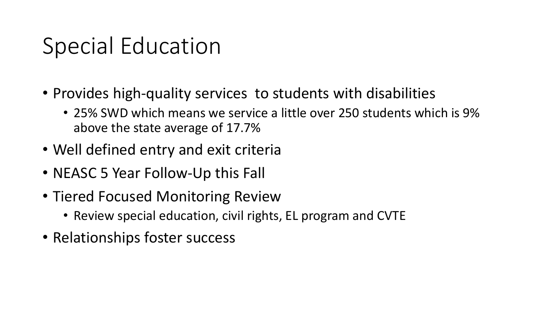#### Special Education

- Provides high-quality services to students with disabilities
	- 25% SWD which means we service a little over 250 students which is 9% above the state average of 17.7%
- Well defined entry and exit criteria
- NEASC 5 Year Follow-Up this Fall
- Tiered Focused Monitoring Review
	- Review special education, civil rights, EL program and CVTE
- Relationships foster success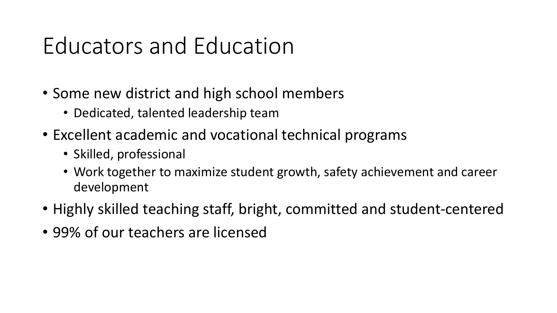#### Educators and Education

- Some new district and high school members
	- Dedicated, talented leadership team
- Excellent academic and vocational technical programs
	- Skilled, professional
	- Work together to maximize student growth, safety achievement and career development
- Highly skilled teaching staff, bright, committed and student-centered
- 99% of our teachers are licensed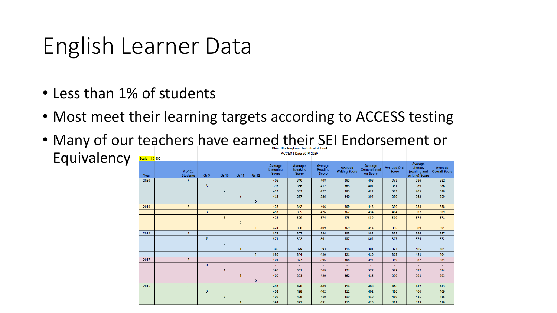#### English Learner Data

- Less than 1% of students
- Most meet their learning targets according to ACCESS testing
- Many of our teachers have earned their SEI Endorsement or

|             |               |                              |                |                |                |              | <b>ACCESS Data 2016-2020</b>         |                                     |                             |                          |                                    |                                     |                                                       |                                 |
|-------------|---------------|------------------------------|----------------|----------------|----------------|--------------|--------------------------------------|-------------------------------------|-----------------------------|--------------------------|------------------------------------|-------------------------------------|-------------------------------------------------------|---------------------------------|
| Equivalency | Scale=100-600 |                              |                |                |                |              |                                      |                                     |                             |                          |                                    |                                     |                                                       |                                 |
|             | Year          | $#$ of EL<br><b>Students</b> | Gr 9           | Gr 10          | Gr 11          | Gr 12        | Average<br>Listening<br><b>Score</b> | Average<br><b>Speaking</b><br>Score | Average<br>Reading<br>Score | Average<br>Writing Score | Average<br>Comprehensi<br>on Score | <b>Average Oral</b><br><b>Score</b> | Average<br>Literacy<br>(reading and<br>writing) Score | Average<br><b>Overall Score</b> |
|             | 2020          | $\mathbf{7}$                 |                |                |                |              | 406                                  | 340                                 | 408                         | 363                      | 408                                | 373                                 | 386                                                   | 382                             |
|             |               |                              | 3 <sup>2</sup> |                |                |              | 397                                  | 366                                 | 412                         | 365                      | 407                                | 381                                 | 389                                                   | 386                             |
|             |               |                              |                | $\overline{2}$ |                |              | 412                                  | 353                                 | 427                         | 383                      | 422                                | 383                                 | 405                                                   | 398                             |
|             |               |                              |                |                | 3 <sup>1</sup> |              | 413                                  | 287                                 | 386                         | 340                      | 394                                | 350                                 | 363                                                   | 359                             |
|             |               |                              |                |                |                | $\mathbf{0}$ |                                      |                                     |                             |                          |                                    |                                     |                                                       |                                 |
|             | 2019          | $6^{\circ}$                  |                |                |                |              | 438                                  | 342                                 | 406                         | 369                      | 416                                | 390                                 | 388                                                   | 388                             |
|             |               |                              | 3 <sup>7</sup> |                |                |              | 453                                  | 355                                 | 426                         | 367                      | 434                                | 404                                 | 397                                                   | 399                             |
|             |               |                              |                | $\overline{2}$ |                |              | 423                                  | 309                                 | 374                         | 373                      | 389                                | 366                                 | 374                                                   | 371                             |
|             |               |                              |                |                | $\mathbf{0}$   |              | $\sim$                               | $\sim$                              | $\sim$                      | $\sim$ $^{-1}$           | $\sim$                             | $\sim$                              | $\sim$                                                | $\sim$                          |
|             |               |                              |                |                |                | $\mathbf{1}$ | 424                                  | 368                                 | 409                         | 369                      | 414                                | 396                                 | 389                                                   | 391                             |
|             | 2018          | $\overline{4}$               |                |                |                |              | 378                                  | 367                                 | 384                         | 403                      | 382                                | 373                                 | 394                                                   | 387                             |
|             |               |                              | $\overline{2}$ |                |                |              | 371                                  | 362                                 | 361                         | 387                      | 364                                | 367                                 | 374                                                   | 372                             |
|             |               |                              |                | $\mathbf{0}$   |                |              | $\sim$                               | $\sim$                              | $\sim$                      | $\sim$ $^{-1}$           | $\sim$                             |                                     | $\sim$                                                | $\sim$                          |
|             |               |                              |                |                | $\mathbf{1}$   |              | 386                                  | 399                                 | 393                         | 416                      | 391                                | 393                                 | 405                                                   | 401                             |
|             |               |                              |                |                |                | $\mathbf{1}$ | 386                                  | 344                                 | 420                         | 421                      | 410                                | 365                                 | 421                                                   | 404                             |
|             | 2017          | $\overline{2}$               |                |                |                |              | 401                                  | 377                                 | 395                         | 368                      | 397                                | 389                                 | 382                                                   | 384                             |
|             |               |                              | $\mathbf{0}$   |                |                |              | $\overline{\phantom{a}}$             | $\sim$                              | $\sim$                      | ÷                        | $\sim$                             |                                     | $\sim$                                                | $\sim$                          |
|             |               |                              |                | $\mathbf{1}$   |                |              | 396                                  | 361                                 | 369                         | 374                      | 377                                | 379                                 | 372                                                   | 374                             |
|             |               |                              |                |                | $\mathbf{1}$   |              | 405                                  | 393                                 | 420                         | 362                      | 416                                | 399                                 | 391                                                   | 393                             |
|             |               |                              |                |                |                | $\mathbf{0}$ | $\sim$                               | $\sim$                              | $\sim$                      | $\sim$ $^{-1}$           | $\sim$                             |                                     | $\sim$                                                | $\sim$                          |
|             | 2016          | 6                            |                |                |                |              | 403                                  | 428                                 | 409                         | 414                      | 408                                | 416                                 | 412                                                   | 413                             |
|             |               |                              | 3 <sup>7</sup> |                |                |              | 403                                  | 428                                 | 402                         | 411                      | 402                                | 416                                 | 406                                                   | 409                             |
|             |               |                              |                | $\overline{2}$ |                |              | 409                                  | 428                                 | 410                         | 419                      | 410                                | 419                                 | 415                                                   | 416                             |
|             |               |                              |                |                | $\mathbf{1}$   |              | 394                                  | 427                                 | 431                         | 415                      | 420                                | 411                                 | 423                                                   | 419                             |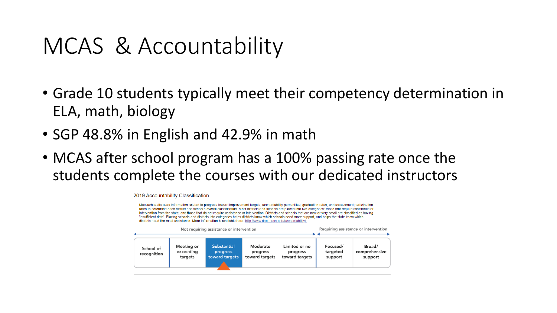#### MCAS & Accountability

- Grade 10 students typically meet their competency determination in ELA, math, biology
- SGP 48.8% in English and 42.9% in math
- MCAS after school program has a 100% passing rate once the students complete the courses with our dedicated instructors

2019 Accountability Classification

Massachusetts uses information related to progress toward improvement targets, accountability percentiles, graduation rates, and assessment participation rates to determine each district and school's overall classification. Most districts and schools are placed into two categories: those that require assistance or intervention from the state, and those that do not require assistance or intervention. Districts and schools that are new or very small are classified as having 'insufficient data'. Placing schools and districts into categories helps districts know which schools need more support, and helps the state know which districts need the most assistance. More information is available here: http://www.doe.mass.edu/accountability/. Requiring assistance or intervention Not requiring assistance or intervention Meeting or **Substantial** Moderate Limited or no Focused/ Broad/ School of exceeding targeted comprehensive progress progress progress recognition targets toward targets toward targets toward targets support support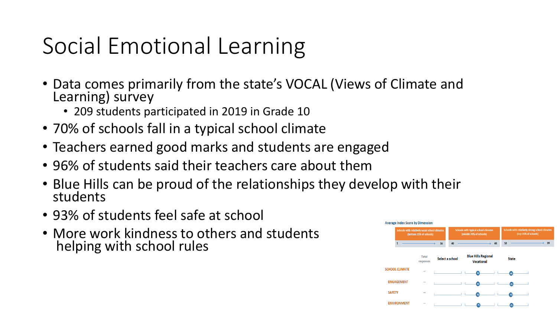# Social Emotional Learning

- Data comes primarily from the state's VOCAL (Views of Climate and Learning) survey
	- 209 students participated in 2019 in Grade 10
- 70% of schools fall in a typical school climate
- Teachers earned good marks and students are engaged
- 96% of students said their teachers care about them
- Blue Hills can be proud of the relationships they develop with their students
- 93% of students feel safe at school
- More work kindness to others and students helping with school rules

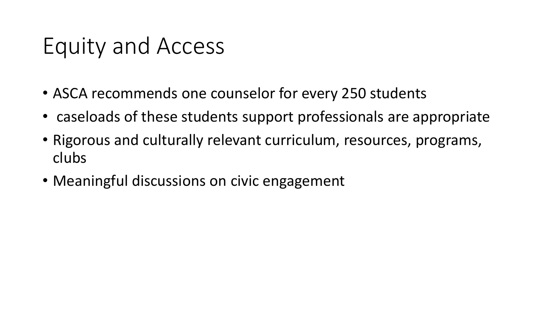#### Equity and Access

- ASCA recommends one counselor for every 250 students
- caseloads of these students support professionals are appropriate
- Rigorous and culturally relevant curriculum, resources, programs, clubs
- Meaningful discussions on civic engagement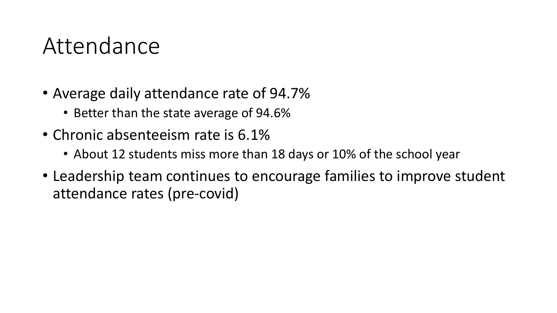#### Attendance

- Average daily attendance rate of 94.7%
	- Better than the state average of 94.6%
- Chronic absenteeism rate is 6.1%
	- About 12 students miss more than 18 days or 10% of the school year
- Leadership team continues to encourage families to improve student attendance rates (pre-covid)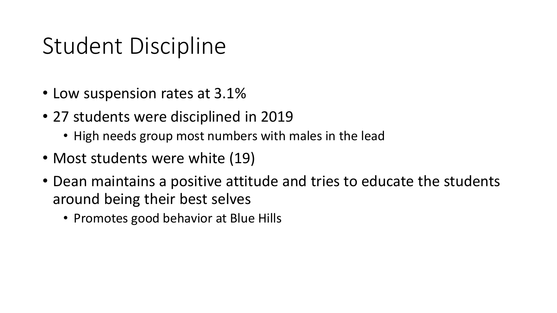#### Student Discipline

- Low suspension rates at 3.1%
- 27 students were disciplined in 2019
	- High needs group most numbers with males in the lead
- Most students were white (19)
- Dean maintains a positive attitude and tries to educate the students around being their best selves
	- Promotes good behavior at Blue Hills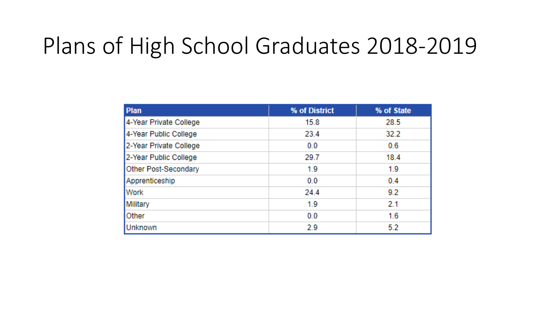#### Plans of High School Graduates 2018-2019

| <b>Plan</b>                 | % of District | % of State |
|-----------------------------|---------------|------------|
| 4-Year Private College      | 15.8          | 28.5       |
| 4-Year Public College       | 23.4          | 32.2       |
| 2-Year Private College      | 0.0           | 0.6        |
| 2-Year Public College       | 29.7          | 18.4       |
| <b>Other Post-Secondary</b> | 1.9           | 1.9        |
| Apprenticeship              | 0.0           | 0.4        |
| <b>Work</b>                 | 24.4          | 9.2        |
| Military                    | 1.9           | 2.1        |
| Other                       | 0.0           | 1.6        |
| Unknown                     | 2.9           | 5.2        |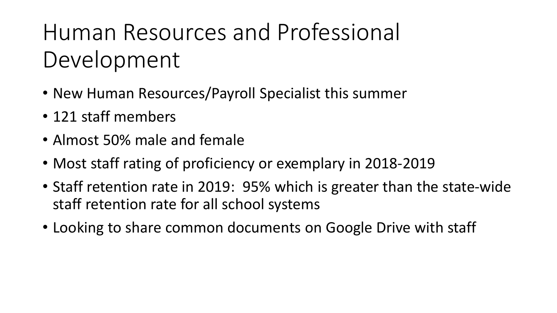# Human Resources and Professional Development

- New Human Resources/Payroll Specialist this summer
- 121 staff members
- Almost 50% male and female
- Most staff rating of proficiency or exemplary in 2018-2019
- Staff retention rate in 2019: 95% which is greater than the state-wide staff retention rate for all school systems
- Looking to share common documents on Google Drive with staff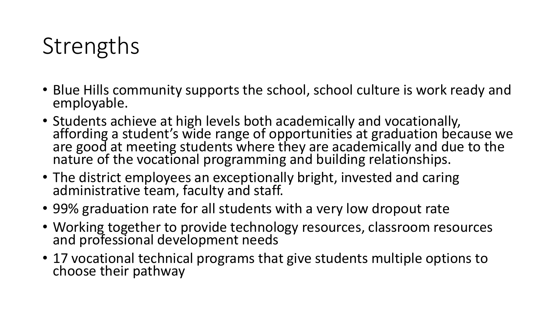# **Strengths**

- Blue Hills community supports the school, school culture is work ready and employable.
- Students achieve at high levels both academically and vocationally, affording a student's wide range of opportunities at graduation because we are good at meeting students where they are academically and due to the nature of the vocational programming and building relationships.
- The district employees an exceptionally bright, invested and caring administrative team, faculty and staff.
- 99% graduation rate for all students with a very low dropout rate
- Working together to provide technology resources, classroom resources and professional development needs
- 17 vocational technical programs that give students multiple options to choose their pathway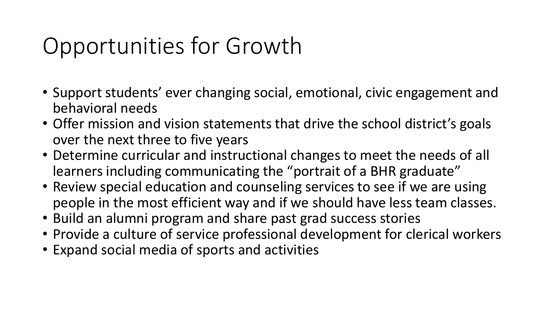### Opportunities for Growth

- Support students' ever changing social, emotional, civic engagement and behavioral needs
- Offer mission and vision statements that drive the school district's goals over the next three to five years
- Determine curricular and instructional changes to meet the needs of all learners including communicating the "portrait of a BHR graduate"
- Review special education and counseling services to see if we are using people in the most efficient way and if we should have less team classes.
- Build an alumni program and share past grad success stories
- Provide a culture of service professional development for clerical workers
- Expand social media of sports and activities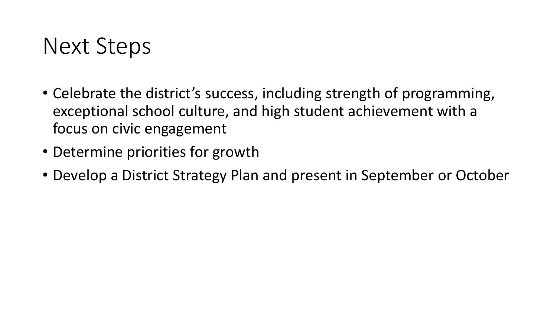#### Next Steps

- Celebrate the district's success, including strength of programming, exceptional school culture, and high student achievement with a focus on civic engagement
- Determine priorities for growth
- Develop a District Strategy Plan and present in September or October